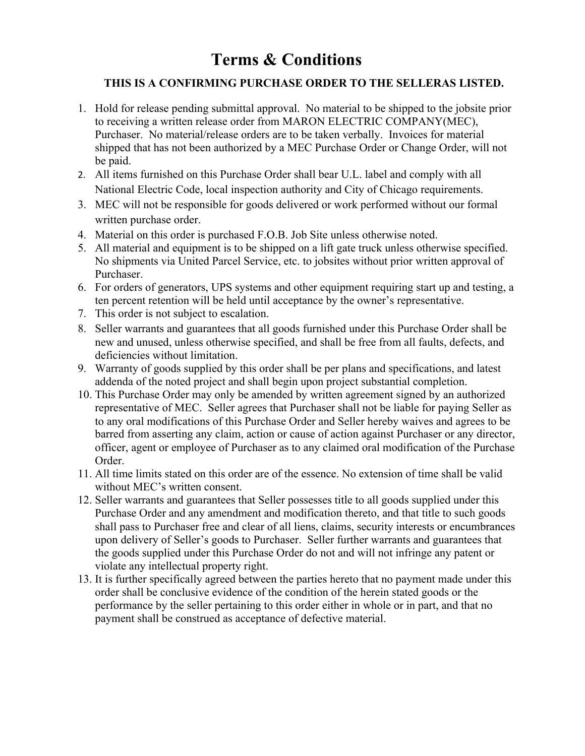## **Terms & Conditions**

## **THIS IS A CONFIRMING PURCHASE ORDER TO THE SELLERAS LISTED.**

- 1. Hold for release pending submittal approval. No material to be shipped to the jobsite prior to receiving a written release order from MARON ELECTRIC COMPANY(MEC), Purchaser. No material/release orders are to be taken verbally. Invoices for material shipped that has not been authorized by a MEC Purchase Order or Change Order, will not be paid.
- 2. All items furnished on this Purchase Order shall bear U.L. label and comply with all National Electric Code, local inspection authority and City of Chicago requirements.
- 3. MEC will not be responsible for goods delivered or work performed without our formal written purchase order.
- 4. Material on this order is purchased F.O.B. Job Site unless otherwise noted.
- 5. All material and equipment is to be shipped on a lift gate truck unless otherwise specified. No shipments via United Parcel Service, etc. to jobsites without prior written approval of Purchaser.
- 6. For orders of generators, UPS systems and other equipment requiring start up and testing, a ten percent retention will be held until acceptance by the owner's representative.
- 7. This order is not subject to escalation.
- 8. Seller warrants and guarantees that all goods furnished under this Purchase Order shall be new and unused, unless otherwise specified, and shall be free from all faults, defects, and deficiencies without limitation.
- 9. Warranty of goods supplied by this order shall be per plans and specifications, and latest addenda of the noted project and shall begin upon project substantial completion.
- 10. This Purchase Order may only be amended by written agreement signed by an authorized representative of MEC. Seller agrees that Purchaser shall not be liable for paying Seller as to any oral modifications of this Purchase Order and Seller hereby waives and agrees to be barred from asserting any claim, action or cause of action against Purchaser or any director, officer, agent or employee of Purchaser as to any claimed oral modification of the Purchase Order.
- 11. All time limits stated on this order are of the essence. No extension of time shall be valid without MEC's written consent.
- 12. Seller warrants and guarantees that Seller possesses title to all goods supplied under this Purchase Order and any amendment and modification thereto, and that title to such goods shall pass to Purchaser free and clear of all liens, claims, security interests or encumbrances upon delivery of Seller's goods to Purchaser. Seller further warrants and guarantees that the goods supplied under this Purchase Order do not and will not infringe any patent or violate any intellectual property right.
- 13. It is further specifically agreed between the parties hereto that no payment made under this order shall be conclusive evidence of the condition of the herein stated goods or the performance by the seller pertaining to this order either in whole or in part, and that no payment shall be construed as acceptance of defective material.